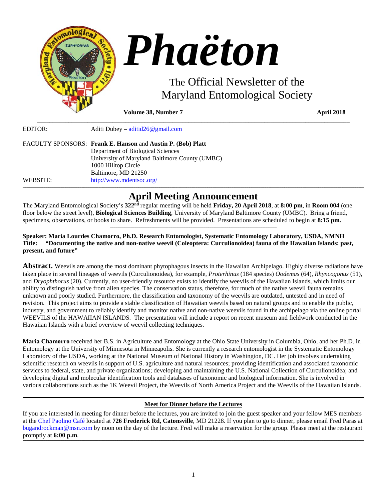

**Volume 38, Number 7** April **2018** 

| EDITOR:  | Aditi Dubey – $\text{aditid26@gmail.com}$                   |
|----------|-------------------------------------------------------------|
|          | FACULTY SPONSORS: Frank E. Hanson and Austin P. (Bob) Platt |
|          | Department of Biological Sciences                           |
|          | University of Maryland Baltimore County (UMBC)              |
|          | 1000 Hilltop Circle                                         |
|          | Baltimore, MD 21250                                         |
| WEBSITE: | http://www.mdentsoc.org/                                    |
|          |                                                             |

## **\_\_\_\_\_\_\_\_\_\_\_\_\_\_\_\_\_\_\_\_\_\_\_\_\_\_\_\_\_\_\_\_\_\_\_\_\_\_\_\_\_\_\_\_\_\_\_\_\_\_\_\_\_\_\_\_\_\_\_\_\_\_\_\_\_\_\_\_\_\_\_\_\_\_\_\_\_\_\_\_\_\_\_\_\_\_\_\_\_\_\_\_\_\_\_\_\_\_\_\_\_\_\_\_\_\_\_\_\_\_\_\_\_\_\_\_\_\_\_\_\_\_\_\_\_\_\_\_\_\_\_\_\_\_\_\_\_\_\_\_\_\_\_\_\_\_\_\_\_\_\_\_\_\_\_\_\_\_\_\_\_\_\_\_\_\_\_\_\_\_\_\_\_\_\_\_\_\_\_\_\_\_\_\_\_\_\_\_\_\_\_\_\_\_\_\_\_\_\_\_\_\_\_\_\_\_\_\_\_\_\_\_\_\_\_\_\_\_\_\_\_\_\_\_\_\_\_\_\_\_\_\_\_\_\_\_\_\_\_\_\_\_\_\_\_\_\_\_\_\_\_\_\_\_\_\_\_\_\_\_\_\_\_\_\_\_\_\_\_\_\_\_\_\_\_\_\_\_\_\_\_\_\_\_\_\_\_\_\_\_\_\_\_\_\_\_\_\_\_\_\_\_\_\_\_\_\_\_\_\_\_\_\_\_\_\_\_\_\_\_\_\_\_\_\_\_\_\_\_\_\_\_\_\_\_\_\_\_\_\_\_\_\_\_\_\_\_\_\_\_\_\_\_\_\_\_\_\_\_\_ April Meeting Announcement**

\_\_\_\_\_\_\_\_\_\_\_\_\_\_\_\_\_\_\_\_\_\_\_\_\_\_\_\_\_\_\_\_\_\_\_\_\_\_\_\_\_\_\_\_\_\_\_\_\_\_\_\_\_\_\_\_\_\_\_\_\_\_\_\_\_\_\_\_\_\_\_\_\_\_\_\_\_\_\_\_\_\_\_\_\_\_\_\_\_\_\_\_\_\_\_\_\_\_\_

The **M**aryland **E**ntomological **S**ociety's **322nd** regular meeting will be held **Friday, 20 April 2018**, at **8:00 pm**, in **Room 004** (one floor below the street level), **Biological Sciences Building**, University of Maryland Baltimore County (UMBC). Bring a friend, specimens, observations, or books to share. Refreshments will be provided. Presentations are scheduled to begin at **8:15 pm.**

## **Speaker: Maria Lourdes Chamorro, Ph.D. Research Entomologist, Systematic Entomology Laboratory, USDA, NMNH Title: "Documenting the native and non-native weevil (Coleoptera: Curculionoidea) fauna of the Hawaiian Islands: past, present, and future"**

**Abstract.** Weevils are among the most dominant phytophagous insects in the Hawaiian Archipelago. Highly diverse radiations have taken place in several lineages of weevils (Curculionoidea), for example, *Proterhinus* (184 species) *Oodemas* (64), *Rhyncogonus* (51), and *Dryophthorus* (20). Currently, no user-friendly resource exists to identify the weevils of the Hawaiian Islands, which limits our ability to distinguish native from alien species. The conservation status, therefore, for much of the native weevil fauna remains unknown and poorly studied. Furthermore, the classification and taxonomy of the weevils are outdated, untested and in need of revision. This project aims to provide a stable classification of Hawaiian weevils based on natural groups and to enable the public, industry, and government to reliably identify and monitor native and non-native weevils found in the archipelago via the online portal WEEVILS of the HAWAIIAN ISLANDS. The presentation will include a report on recent museum and fieldwork conducted in the Hawaiian Islands with a brief overview of weevil collecting techniques.

**Maria Chamorro** received her B.S. in Agriculture and Entomology at the Ohio State University in Columbia, Ohio, and her Ph.D. in Entomology at the University of Minnesota in Minneapolis. She is currently a research entomologist in the Systematic Entomology Laboratory of the USDA, working at the National Museum of National History in Washington, DC. Her job involves undertaking scientific research on weevils in support of U.S. agriculture and natural resources; providing identification and associated taxonomic services to federal, state, and private organizations; developing and maintaining the U.S. National Collection of Curculionoidea; and developing digital and molecular identification tools and databases of taxonomic and biological information. She is involved in various collaborations such as the 1K Weevil Project, the Weevils of North America Project and the Weevils of the Hawaiian Islands.

#### **\_\_\_\_\_\_\_\_\_\_\_\_\_\_\_\_\_\_\_\_\_\_\_\_\_\_\_\_\_\_\_\_\_\_\_\_\_\_\_\_\_\_\_\_\_\_\_\_\_\_\_\_\_\_\_\_\_\_\_\_\_\_\_\_\_\_\_\_\_\_\_\_\_\_\_\_\_\_\_\_\_\_\_\_\_\_\_\_\_\_\_\_\_\_\_\_\_\_\_\_\_\_\_\_\_\_\_\_\_\_\_\_\_\_\_\_\_\_\_\_\_\_\_\_\_\_\_\_\_\_\_\_\_\_\_\_\_\_\_\_\_\_\_\_\_\_\_\_\_\_\_\_\_\_\_\_\_\_\_\_\_\_\_\_\_\_\_\_\_\_\_\_\_\_\_\_\_\_\_\_\_\_\_\_\_\_\_\_\_\_\_\_\_\_\_\_\_\_\_\_\_\_\_\_\_\_\_\_\_\_\_\_\_\_\_\_\_\_\_\_\_\_\_\_\_\_\_\_\_\_\_\_\_\_\_\_\_\_\_\_\_\_\_\_\_\_\_\_\_\_\_\_\_\_\_\_\_\_\_\_\_\_\_\_\_\_\_\_\_\_\_\_\_\_\_\_\_\_\_\_\_\_\_\_\_\_\_\_\_\_\_\_\_\_\_\_\_\_\_\_\_\_\_\_\_\_\_\_\_\_\_\_\_\_\_\_\_\_\_\_\_\_\_\_\_\_\_\_\_\_\_\_\_\_\_\_\_\_\_\_\_\_\_\_\_\_\_\_\_\_\_\_\_\_\_\_\_\_\_\_ Meet for Dinner before the Lectures**

If you are interested in meeting for dinner before the lectures, you are invited to join the guest speaker and your fellow MES members at the [Chef Paolino Café](https://www.google.com/maps/place/Chef+Paolino+Cafe/@39.2727924,-76.7320191,15z/data=!4m5!3m4!1s0x0:0x5b7140dd2ad4f543!8m2!3d39.2727924!4d-76.7320191) located at **726 Frederick Rd, Catonsville**, MD 21228. If you plan to go to dinner, please email Fred Paras at bugandrockman@msn.com by noon on the day of the lecture. Fred will make a reservation for the group. Please meet at the restaurant promptly at **6:00 p.m**. **\_\_\_\_\_\_\_\_\_\_\_\_\_\_\_\_\_\_\_\_\_\_\_\_\_\_\_\_\_\_\_\_\_\_\_\_\_\_\_\_\_\_\_\_\_\_\_\_\_\_\_\_\_\_\_\_\_\_\_\_\_\_\_\_\_\_\_\_\_\_\_\_\_\_\_\_\_\_\_\_\_\_\_\_\_\_\_\_\_\_\_\_\_\_\_\_\_\_\_\_\_\_\_\_\_\_\_\_\_\_\_\_\_\_\_\_\_\_\_\_\_\_\_\_\_\_\_\_\_\_\_\_\_\_\_\_\_\_\_\_\_\_\_\_\_\_\_\_\_\_\_\_\_\_\_\_\_\_\_\_\_\_\_\_\_\_\_\_\_\_\_\_\_\_\_\_\_\_\_\_\_\_\_\_\_\_\_\_\_\_\_\_\_\_\_\_\_\_\_\_\_\_\_\_\_\_\_\_\_\_\_\_\_\_\_\_\_\_\_\_\_\_\_\_\_\_\_\_\_\_\_\_\_\_\_\_\_\_\_\_\_\_\_\_\_\_\_\_\_\_\_\_\_\_\_\_\_\_\_\_\_\_\_\_\_\_\_\_\_\_\_\_\_\_\_\_\_\_\_\_\_\_\_\_\_\_\_\_\_\_\_\_\_\_\_\_\_\_\_\_\_\_\_\_\_\_\_\_\_\_\_\_\_\_\_\_\_\_\_\_\_\_\_\_\_\_\_\_\_\_\_\_\_\_\_\_\_\_\_\_\_\_\_\_\_\_\_\_\_\_\_\_\_\_\_\_\_\_\_\_**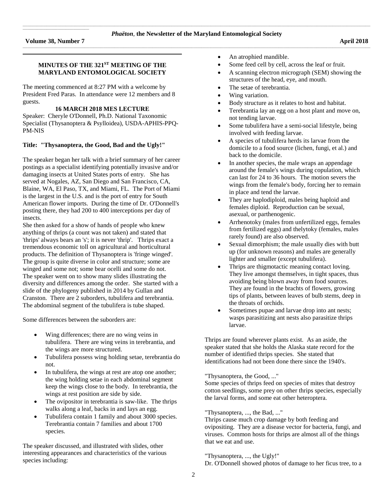$\mathcal{L}_\text{max}$  and  $\mathcal{L}_\text{max}$  and  $\mathcal{L}_\text{max}$  are the set of the set of the set of the set of the set of the set of the set of the set of the set of the set of the set of the set of the set of the set of the set of th

### **MINUTES OF THE 321ST MEETING OF THE MARYLAND ENTOMOLOGICAL SOCIETY**

**\_\_\_\_\_\_\_\_\_\_\_\_\_\_\_\_\_\_\_\_\_\_\_\_\_\_\_\_\_\_\_\_\_\_\_\_\_\_\_\_\_\_\_\_\_\_\_\_\_\_\_\_\_\_\_\_\_\_\_\_\_\_\_\_\_\_\_\_\_\_\_\_\_\_\_\_\_\_\_\_\_\_\_\_\_\_\_\_\_\_\_\_\_\_\_\_\_\_\_\_\_\_\_\_\_\_\_\_\_\_\_\_\_\_\_\_\_\_\_\_\_\_\_\_\_\_\_\_\_\_\_\_\_\_\_\_\_\_\_\_\_\_\_\_\_\_\_\_\_\_\_\_\_\_\_\_\_\_\_\_\_\_\_\_\_\_\_\_**

The meeting commenced at 8:27 PM with a welcome by President Fred Paras. In attendance were 12 members and 8 guests.

## **16 MARCH 2018 MES LECTURE**

Speaker: Cheryle O'Donnell, Ph.D. National Taxonomic Specialist (Thysanoptera & Psylloidea), USDA-APHIS-PPQ-PM-NIS

### **Title: "Thysanoptera, the Good, Bad and the Ugly!"**

The speaker began her talk with a brief summary of her career postings as a specialist identifying potentially invasive and/or damaging insects at United States ports of entry. She has served at Nogales, AZ, San Diego and San Francisco, CA, Blaine, WA, El Paso, TX, and Miami, FL*.* The Port of Miami is the largest in the U.S. and is the port of entry for South American flower imports. During the time of Dr. O'Donnell's posting there, they had 200 to 400 interceptions per day of insects.

She then asked for a show of hands of people who knew anything of thrips (a count was not taken) and stated that 'thrips' always bears an 's'; it is never 'thrip'. Thrips exact a tremendous economic toll on agricultural and horticultural products. The definition of Thysanoptera is 'fringe winged'. The group is quite diverse in color and structure; some are winged and some not; some bear ocelli and some do not. The speaker went on to show many slides illustrating the diversity and differences among the order. She started with a slide of the phylogeny published in 2014 by Gullan and Cranston. There are 2 suborders, tubulifera and terebrantia. The abdominal segment of the tubulifera is tube shaped.

Some differences between the suborders are:

- Wing differences; there are no wing veins in tubulifera. There are wing veins in terebrantia, and the wings are more structured.
- Tubulifera possess wing holding setae, terebrantia do not.
- In tubulifera, the wings at rest are atop one another; the wing holding setae in each abdominal segment keep the wings close to the body. In terebrantia, the wings at rest position are side by side.
- The ovipositor in terebrantia is saw-like. The thrips walks along a leaf, backs in and lays an egg.
- Tubulifera contain 1 family and about 3000 species. Terebrantia contain 7 families and about 1700 species.

The speaker discussed, and illustrated with slides, other interesting appearances and characteristics of the various species including:

- An atrophied mandible.
- Some feed cell by cell, across the leaf or fruit.
- A scanning electron micrograph (SEM) showing the structures of the head, eye, and mouth.
- The setae of terebrantia.
- Wing variation.
- Body structure as it relates to host and habitat.
- Terebrantia lay an egg on a host plant and move on, not tending larvae.
- Some tubulifera have a semi-social lifestyle, being involved with feeding larvae.
- A species of tubulifera herds its larvae from the domicile to a food source (lichen, fungi, et al.) and back to the domicile.
- In another species, the male wraps an appendage around the female's wings during copulation, which can last for 24 to 36 hours. The motion severs the wings from the female's body, forcing her to remain in place and tend the larvae.
- They are haplodiploid, males being haploid and females diploid. Reproduction can be sexual, asexual, or parthenogenic.
- Arrhenotoky (males from unfertilized eggs, females from fertilized eggs) and thelytoky (females, males rarely found) are also observed.
- Sexual dimorphism; the male usually dies with butt up (for unknown reasons) and males are generally lighter and smaller (except tubulifera).
- Thrips are thigmotactic meaning contact loving. They live amongst themselves, in tight spaces, thus avoiding being blown away from food sources. They are found in the brachts of flowers, growing tips of plants, between leaves of bulb stems, deep in the throats of orchids.
- Sometimes pupae and larvae drop into ant nests; wasps parasitizing ant nests also parasitize thrips larvae.

Thrips are found wherever plants exist. As an aside, the speaker stated that she holds the Alaska state record for the number of identified thrips species. She stated that identifications had not been done there since the 1940's.

"Thysanoptera, the Good, ..."

Some species of thrips feed on species of mites that destroy cotton seedlings, some prey on other thrips species, especially the larval forms, and some eat other heteroptera.

#### "Thysanoptera, ..., the Bad, ..."

Thrips cause much crop damage by both feeding and ovipositing. They are a disease vector for bacteria, fungi, and viruses. Common hosts for thrips are almost all of the things that we eat and use.

### "Thysanoptera, ..., the Ugly!"

Dr. O'Donnell showed photos of damage to her ficus tree, to a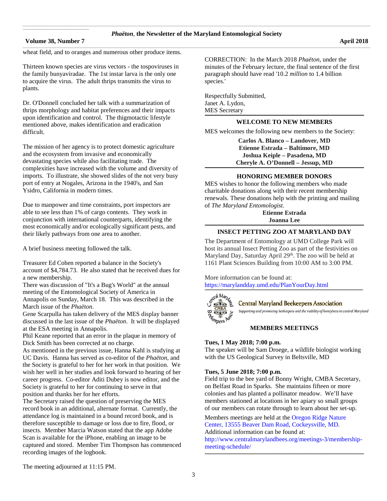### **Volume 38, Number 7 April 2018**

 $\mathcal{L}_\text{max}$  and  $\mathcal{L}_\text{max}$  and  $\mathcal{L}_\text{max}$  are the set of the set of the set of the set of the set of the set of the set of the set of the set of the set of the set of the set of the set of the set of the set of th

wheat field, and to oranges and numerous other produce items.

Thirteen known species are virus vectors - the tospoviruses in the family bunyaviradae. The 1st instar larva is the only one to acquire the virus. The adult thrips transmits the virus to plants.

Dr. O'Donnell concluded her talk with a summarization of thrips morphology and habitat preferences and their impacts upon identification and control. The thigmotactic lifestyle mentioned above, makes identification and eradication difficult.

The mission of her agency is to protect domestic agriculture and the ecosystem from invasive and economically devastating species while also facilitating trade. The complexities have increased with the volume and diversity of imports. To illustrate, she showed slides of the not very busy port of entry at Nogales, Arizona in the 1940's, and San Ysidro, California in modern times.

Due to manpower and time constraints, port inspectors are able to see less than 1% of cargo contents. They work in conjunction with international counterparts, identifying the most economically and/or ecologically significant pests, and their likely pathways from one area to another.

A brief business meeting followed the talk.

Treasurer Ed Cohen reported a balance in the Society's account of \$4,784.73. He also stated that he received dues for a new membership.

There was discussion of "It's a Bug's World" at the annual meeting of the Entomological Society of America in Annapolis on Sunday, March 18. This was described in the March issue of the *Phaëton*.

Gene Scarpulla has taken delivery of the MES display banner discussed in the last issue of the *Phaëton*. It will be displayed at the ESA meeting in Annapolis.

Phil Keane reported that an error in the plaque in memory of Dick Smith has been corrected at no charge.

As mentioned in the previous issue, Hanna Kahl is studying at UC Davis. Hanna has served as co-editor of the *Phaëton*, and the Society is grateful to her for her work in that position. We wish her well in her studies and look forward to hearing of her career progress. Co-editor Aditi Dubey is now editor, and the Society is grateful to her for continuing to serve in that position and thanks her for her efforts.

The Secretary raised the question of preserving the MES record book in an additional, alternate format. Currently, the attendance log is maintained in a bound record book, and is therefore susceptible to damage or loss due to fire, flood, or insects. Member Marcia Watson stated that the app Adobe Scan is available for the iPhone, enabling an image to be captured and stored. Member Tim Thompson has commenced recording images of the logbook.

CORRECTION: In the March 2018 *Phaëton*, under the minutes of the February lecture, the final sentence of the first paragraph should have read '10.2 *million* to 1.4 billion species.'

Respectfully Submitted, Janet A. Lydon, MES Secretary

#### **\_\_\_\_\_\_\_\_\_\_\_\_\_\_\_\_\_\_\_\_\_\_\_\_\_\_\_\_\_\_\_\_\_\_\_\_\_\_\_\_\_\_\_\_\_\_\_\_\_\_\_\_\_\_\_\_\_\_\_\_\_\_\_\_\_\_\_\_\_\_\_\_\_\_\_\_\_\_\_\_\_\_\_\_\_\_\_\_\_\_\_\_\_\_\_\_\_\_\_\_\_\_\_\_\_\_\_\_\_\_\_\_\_\_\_\_\_\_\_\_\_\_\_\_\_\_\_\_\_\_\_\_\_\_\_\_\_\_\_\_\_\_\_\_\_\_\_\_\_\_\_\_\_\_\_\_\_\_\_\_\_\_\_\_\_\_\_\_ WELCOME TO NEW MEMBERS**

MES welcomes the following new members to the Society:

**Carlos A. Blanco – Landover, MD Etienne Estrada – Baltimore, MD Joshua Keiple – Pasadena, MD Cheryle A. O'Donnell – Jessup, MD**

#### **\_\_\_\_\_\_\_\_\_\_\_\_\_\_\_\_\_\_\_\_\_\_\_\_\_\_\_\_\_\_\_\_\_\_\_\_\_\_\_\_\_\_\_\_\_\_\_\_\_\_\_\_\_\_\_\_\_\_\_\_\_\_\_\_\_\_\_\_\_\_\_\_\_\_\_\_\_\_\_\_\_\_\_\_\_\_\_\_\_\_\_\_\_\_\_\_\_\_\_\_\_\_\_\_\_\_\_\_\_\_\_\_\_\_\_\_\_\_\_\_\_\_\_\_\_\_\_\_\_\_\_\_\_\_\_\_\_\_\_\_\_\_\_\_\_\_\_\_\_\_\_\_\_\_\_\_\_\_\_\_\_\_\_\_\_\_\_\_ HONORING MEMBER DONORS**

MES wishes to honor the following members who made charitable donations along with their recent membership renewals. These donations help with the printing and mailing of *The Maryland Entomologist*.

> **Etienne Estrada Joanna Lee**

#### **\_\_\_\_\_\_\_\_\_\_\_\_\_\_\_\_\_\_\_\_\_\_\_\_\_\_\_\_\_\_\_\_\_\_\_\_\_\_\_\_\_\_\_\_\_\_\_\_\_\_\_\_\_\_\_\_\_\_\_\_\_\_\_\_\_\_\_\_\_\_\_\_\_\_\_\_\_\_\_\_\_\_\_\_\_\_\_\_\_\_\_\_\_\_\_\_\_\_\_\_\_\_\_\_\_\_\_\_\_\_\_\_\_\_\_\_\_\_\_\_\_\_\_\_\_\_\_\_\_\_\_\_\_\_\_\_\_\_\_\_\_\_\_\_\_\_\_\_\_\_\_\_\_\_\_\_\_\_\_\_\_\_\_\_\_\_\_\_ INSECT PETTING ZOO AT MARYLAND DAY**

The Department of Entomology at UMD College Park will host its annual Insect Petting Zoo as part of the festivities on Maryland Day, Saturday April 29<sup>th</sup>. The zoo will be held at 1161 Plant Sciences Building from 10:00 AM to 3:00 PM.

More information can be found at: <https://marylandday.umd.edu/PlanYourDay.html>



**Central Maryland Beekeepers Association** 

Supporting and promoting beekeepers and the viability of honeybees in central Maryland

### **MEMBERS MEETINGS**

**\_\_\_\_\_\_\_\_\_\_\_\_\_\_\_\_\_\_\_\_\_\_\_\_\_\_\_\_\_\_\_\_\_\_\_\_\_\_\_\_\_\_\_\_\_\_\_\_\_\_\_\_\_\_\_\_\_\_\_\_\_\_\_\_\_\_\_\_\_\_\_\_\_\_\_\_\_\_\_\_\_\_\_\_\_\_\_\_\_\_\_\_\_\_\_\_\_\_\_\_\_\_\_\_\_\_\_\_\_\_\_\_\_\_\_\_\_\_\_\_\_\_\_\_\_\_\_\_\_\_\_\_\_\_\_\_\_\_\_\_\_\_\_\_\_\_\_\_\_\_\_\_\_\_\_\_\_\_\_\_\_\_\_\_\_\_\_**

#### **Tues, 1 May 2018; 7:00 p.m.**

The speaker will be Sam Droege, a wildlife biologist working with the US Geological Survey in Beltsville, MD

## **Tues, 5 June 2018; 7:00 p.m.**

Field trip to the bee yard of Bonny Wright, CMBA Secretary, on Belfast Road in Sparks. She maintains fifteen or more colonies and has planted a pollinator meadow. We'll have members stationed at locations in her apiary so small groups of our members can rotate through to learn about her set-up.

Members meetings are held at th[e Oregon Ridge Nature](https://www.google.com/maps/place/Oregon+Ridge+Nature+Center/@39.4970222,-76.6868097,15z/data=!4m2!3m1!1s0x0:0x9fbed14b2a0e98dd?sa=X&ved=0ahUKEwjkwILmv6jQAhXs6YMKHVsmDwgQ_BIIdDAK)  [Center, 13555 Beaver Dam Road, Cockeysville, MD.](https://www.google.com/maps/place/Oregon+Ridge+Nature+Center/@39.4970222,-76.6868097,15z/data=!4m2!3m1!1s0x0:0x9fbed14b2a0e98dd?sa=X&ved=0ahUKEwjkwILmv6jQAhXs6YMKHVsmDwgQ_BIIdDAK) 

Additional information can be found at:

[http://www.centralmarylandbees.org/meetings-3/membership](http://www.centralmarylandbees.org/meetings-3/membership-meeting-schedule/)[meeting-schedule/](http://www.centralmarylandbees.org/meetings-3/membership-meeting-schedule/) **\_\_\_\_\_\_\_\_\_\_\_\_\_\_\_\_\_\_\_\_\_\_\_\_\_\_\_\_\_\_\_\_\_\_\_\_\_\_\_\_\_\_\_\_\_\_\_\_\_\_\_\_\_\_\_\_\_\_\_\_\_\_\_\_\_\_\_\_\_\_\_\_\_\_\_\_\_\_\_\_\_\_\_\_\_\_\_\_\_\_\_\_\_\_\_\_\_\_\_\_\_\_\_\_\_\_\_\_\_\_\_\_\_\_\_\_\_\_\_\_\_\_\_\_\_\_\_\_\_\_\_\_\_\_\_\_\_\_\_\_\_\_\_\_\_\_\_\_\_\_\_\_\_\_\_\_\_\_\_\_\_\_\_\_\_\_\_\_**

The meeting adjourned at 11:15 PM.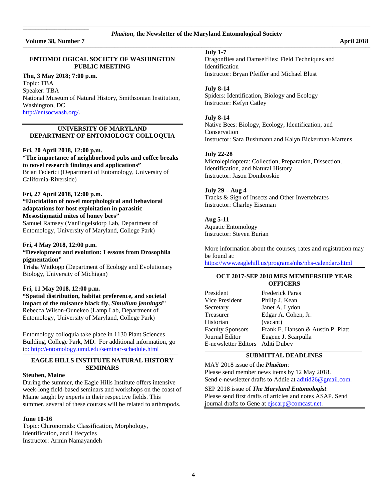# \_\_\_\_\_\_\_\_\_\_\_\_\_\_\_\_\_\_\_\_\_\_\_\_\_\_\_\_\_\_\_\_\_\_\_\_\_\_\_\_\_\_\_\_\_\_\_\_\_\_\_\_\_\_\_\_\_\_\_\_\_\_\_\_\_\_\_\_\_\_\_\_\_\_\_\_\_\_\_\_\_\_\_\_\_\_\_\_\_\_\_\_\_\_\_\_\_\_\_\_\_\_\_\_\_\_\_\_\_\_\_\_\_\_\_\_\_\_\_\_\_\_\_\_\_\_\_\_\_\_\_\_\_\_\_\_\_\_\_\_\_\_\_\_\_\_\_\_\_\_\_\_\_\_\_\_\_\_\_\_\_\_\_\_\_\_\_\_\_\_\_\_\_\_\_\_\_\_\_\_\_\_\_\_\_\_\_\_\_\_\_\_\_\_\_\_\_\_\_\_\_\_\_\_\_\_\_\_\_\_\_\_\_\_\_\_\_\_\_\_ *Phaëton*, **the Newsletter of the Maryland Entomological Society** \_\_\_\_\_\_\_\_\_\_\_\_\_\_\_\_\_\_\_\_\_\_\_\_\_\_\_\_\_\_\_\_\_\_\_\_\_\_\_\_\_\_\_\_\_\_\_\_\_\_\_\_\_\_\_\_\_\_\_\_\_\_\_\_\_\_\_\_\_\_\_\_\_\_\_\_\_\_\_\_\_\_\_\_\_\_\_\_\_\_\_\_\_\_\_\_\_\_\_\_\_\_\_\_\_\_\_\_\_\_\_\_\_\_\_\_\_\_\_\_\_\_\_\_\_\_\_\_\_\_\_\_\_\_\_\_\_\_\_\_\_\_\_\_\_\_\_\_\_\_\_\_\_\_\_\_\_\_\_\_\_\_\_\_\_\_\_\_\_\_\_\_\_\_\_\_\_\_\_\_\_\_\_\_\_\_\_\_\_\_\_\_\_\_\_\_\_\_\_\_\_\_\_\_\_\_\_\_\_\_\_\_\_\_\_\_\_\_\_\_

## **Volume 38, Number 7 April 2018**

 $\mathcal{L}_\text{max}$  and  $\mathcal{L}_\text{max}$  and  $\mathcal{L}_\text{max}$  are the set of the set of the set of the set of the set of the set of the set of the set of the set of the set of the set of the set of the set of the set of the set of th

### **ENTOMOLOGICAL SOCIETY OF WASHINGTON PUBLIC MEETING**

## **Thu, 3 May 2018; 7:00 p.m.**

Topic: TBA Speaker: TBA National Museum of Natural History, Smithsonian Institution, Washington, DC [http://entsocwash.org/.](http://entsocwash.org/)

### **UNIVERSITY OF MARYLAND DEPARTMENT OF ENTOMOLOGY COLLOQUIA**

#### **Fri, 20 April 2018, 12:00 p.m.**

**"The importance of neighborhood pubs and coffee breaks to novel research findings and applications"** Brian Federici (Department of Entomology, University of California-Riverside)

#### **Fri, 27 April 2018, 12:00 p.m.**

### **"Elucidation of novel morphological and behavioral adaptations for host exploitation in parasitic Mesostigmatid mites of honey bees"**

Samuel Ramsey (VanEngelsdorp Lab, Department of Entomology, University of Maryland, College Park)

#### **Fri, 4 May 2018, 12:00 p.m.**

### **"Development and evolution: Lessons from Drosophila pigmentation"**

Trisha Wittkopp (Department of Ecology and Evolutionary Biology, University of Michigan)

#### **Fri, 11 May 2018, 12:00 p.m.**

**"Spatial distribution, habitat preference, and societal impact of the nuisance black fly,** *Simulium jenningsi***"** Rebecca Wilson-Ounekeo (Lamp Lab, Department of Entomology, University of Maryland, College Park)

Entomology colloquia take place in 1130 Plant Sciences Building, College Park, MD. For additional information, go t[o: http://entomology.umd.edu/seminar-schedule.html](https://d.docs.live.net/fc9dffb43a36b539/Documents/Phaeton/:%20http:/entomology.umd.edu/seminar-schedule.html) **\_\_\_\_\_\_\_\_\_\_\_\_\_\_\_\_\_\_\_\_\_\_\_\_\_\_\_\_\_\_\_\_\_\_\_\_\_\_\_\_\_\_\_\_\_\_\_\_\_\_\_\_\_\_\_\_\_\_\_\_\_\_\_\_\_\_\_\_\_\_\_\_\_\_\_\_\_\_\_\_\_\_\_\_\_\_\_\_\_\_\_\_\_\_\_\_\_\_\_\_\_\_\_\_\_\_\_\_\_\_\_\_\_\_\_\_\_\_\_\_\_\_\_\_\_\_\_\_\_\_\_\_\_\_\_\_\_\_\_\_\_\_\_\_\_\_\_\_\_\_\_\_\_\_\_\_\_\_\_\_\_\_\_\_**

### **EAGLE HILLS INSTITUTE NATURAL HISTORY SEMINARS**

#### **Steuben, Maine**

During the summer, the Eagle Hills Institute offers intensive week-long field-based seminars and workshops on the coast of Maine taught by experts in their respective fields. This summer, several of these courses will be related to arthropods.

#### **June 10-16**

Topic: Chironomids: Classification, Morphology, Identification, and Lifecycles Instructor: Armin Namayandeh

### **July 1-7**

Dragonflies and Damselflies: Field Techniques and Identification Instructor: Bryan Pfeiffer and Michael Blust

#### **July 8-14**

Spiders: Identification, Biology and Ecology Instructor: Kefyn Catley

#### **July 8-14**

Native Bees: Biology, Ecology, Identification, and Conservation Instructor: Sara Bushmann and Kalyn Bickerman-Martens

### **July 22-28**

Microlepidoptera: Collection, Preparation, Dissection, Identification, and Natural History Instructor: Jason Dombroskie

### **July 29 – Aug 4**

Tracks & Sign of Insects and Other Invertebrates Instructor: Charley Eiseman

#### **Aug 5-11**

Aquatic Entomology Instructor: Steven Burian

More information about the courses, rates and registration may be found at:

<https://www.eaglehill.us/programs/nhs/nhs-calendar.shtml>

### **OCT 2017-SEP 2018 MES MEMBERSHIP YEAR OFFICERS**

| <b>Frederick Paras</b>            |
|-----------------------------------|
| Philip J. Kean                    |
| Janet A. Lydon                    |
| Edgar A. Cohen, Jr.               |
| (vacant)                          |
| Frank E. Hanson & Austin P. Platt |
| Eugene J. Scarpulla               |
| E-newsletter Editors Aditi Dubey  |
|                                   |

#### **\_\_\_\_\_\_\_\_\_\_\_\_\_\_\_\_\_\_\_\_\_\_\_\_\_\_\_\_\_\_\_\_\_\_\_\_\_\_\_\_\_\_\_\_\_\_\_\_\_\_\_\_\_\_\_\_\_\_\_\_\_\_\_\_\_\_\_\_\_\_\_\_\_\_\_\_\_\_\_\_\_\_\_\_\_\_\_\_\_\_\_\_\_\_\_\_\_\_\_\_\_\_\_\_\_\_\_\_\_\_\_\_\_\_\_\_\_\_\_\_\_\_\_\_\_\_\_\_\_\_\_\_\_\_\_\_\_\_\_\_\_\_\_\_\_\_\_\_\_\_\_\_\_\_\_\_\_\_\_\_\_\_\_\_\_\_ SUBMITTAL DEADLINES**

### MAY 2018 issue of the *Phaëton*: Please send member news items by 12 May 2018. Send e-newsletter drafts to Addie at [aditid26@gmail.com.](mailto:aditid26@gmail.com)

#### SEP 2018 issue of *The Maryland Entomologist*:

Please send first drafts of articles and notes ASAP. Send journal drafts to Gene at [ejscarp@comcast.net.](mailto:ejscarp@comcast.net)